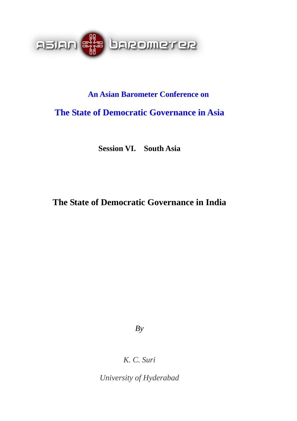

# **An Asian Barometer Conference on**

# **The State of Democratic Governance in Asia**

**Session VI. South Asia** 

# **The State of Democratic Governance in India**

*By* 

*K. C. Suri* 

*University of Hyderabad*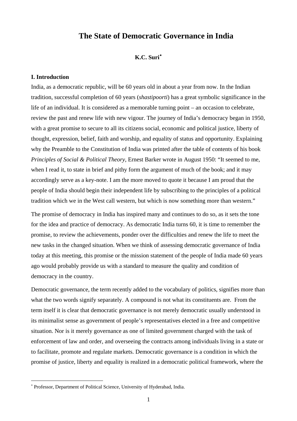## **The State of Democratic Governance in India**

### **K.C. Suri**[∗](#page-1-0)

### **I. Introduction**

India, as a democratic republic, will be 60 years old in about a year from now. In the Indian tradition, successful completion of 60 years (*shastipoorti*) has a great symbolic significance in the life of an individual. It is considered as a memorable turning point – an occasion to celebrate, review the past and renew life with new vigour. The journey of India's democracy began in 1950, with a great promise to secure to all its citizens social, economic and political justice, liberty of thought, expression, belief, faith and worship, and equality of status and opportunity. Explaining why the Preamble to the Constitution of India was printed after the table of contents of his book *Principles of Social & Political Theory*, Ernest Barker wrote in August 1950: "It seemed to me, when I read it, to state in brief and pithy form the argument of much of the book; and it may accordingly serve as a key-note. I am the more moved to quote it because I am proud that the people of India should begin their independent life by subscribing to the principles of a political tradition which we in the West call western, but which is now something more than western."

The promise of democracy in India has inspired many and continues to do so, as it sets the tone for the idea and practice of democracy. As democratic India turns 60, it is time to remember the promise, to review the achievements, ponder over the difficulties and renew the life to meet the new tasks in the changed situation. When we think of assessing democratic governance of India today at this meeting, this promise or the mission statement of the people of India made 60 years ago would probably provide us with a standard to measure the quality and condition of democracy in the country.

Democratic governance, the term recently added to the vocabulary of politics, signifies more than what the two words signify separately. A compound is not what its constituents are. From the term itself it is clear that democratic governance is not merely democratic usually understood in its minimalist sense as government of people's representatives elected in a free and competitive situation. Nor is it merely governance as one of limited government charged with the task of enforcement of law and order, and overseeing the contracts among individuals living in a state or to facilitate, promote and regulate markets. Democratic governance is a condition in which the promise of justice, liberty and equality is realized in a democratic political framework, where the

 $\overline{a}$ 

<span id="page-1-0"></span><sup>∗</sup> Professor, Department of Political Science, University of Hyderabad, India.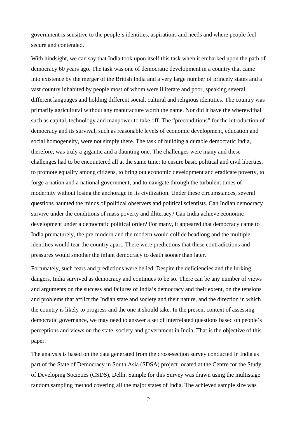government is sensitive to the people's identities, aspirations and needs and where people feel secure and contended.

With hindsight, we can say that India took upon itself this task when it embarked upon the path of democracy 60 years ago. The task was one of democratic development in a country that came into existence by the merger of the British India and a very large number of princely states and a vast country inhabited by people most of whom were illiterate and poor, speaking several different languages and holding different social, cultural and religious identities. The country was primarily agricultural without any manufacture worth the name. Nor did it have the wherewithal such as capital, technology and manpower to take off. The "preconditions" for the introduction of democracy and its survival, such as reasonable levels of economic development, education and social homogeneity, were not simply there. The task of building a durable democratic India, therefore, was truly a gigantic and a daunting one. The challenges were many and these challenges had to be encountered all at the same time: to ensure basic political and civil liberties, to promote equality among citizens, to bring out economic development and eradicate poverty, to forge a nation and a national government, and to navigate through the turbulent times of modernity without losing the anchorage in its civilization. Under these circumstances, several questions haunted the minds of political observers and political scientists. Can Indian democracy survive under the conditions of mass poverty and illiteracy? Can India achieve economic development under a democratic political order? For many, it appeared that democracy came to India prematurely, the pre-modern and the modern would collide headlong and the multiple identities would tear the country apart. There were predictions that these contradictions and pressures would smother the infant democracy to death sooner than later.

Fortunately, such fears and predictions were belied. Despite the deficiencies and the lurking dangers, India survived as democracy and continues to be so. There can be any number of views and arguments on the success and failures of India's democracy and their extent, on the tensions and problems that afflict the Indian state and society and their nature, and the direction in which the country is likely to progress and the one it should take. In the present context of assessing democratic governance, we may need to answer a set of interrelated questions based on people's perceptions and views on the state, society and government in India. That is the objective of this paper.

The analysis is based on the data generated from the cross-section survey conducted in India as part of the State of Democracy in South Asia (SDSA) project located at the Centre for the Study of Developing Societies (CSDS), Delhi. Sample for this Survey was drawn using the multistage random sampling method covering all the major states of India. The achieved sample size was

2 a set of  $\sim$  2 a set of  $\sim$  2 a set of  $\sim$  2 a set of  $\sim$  3 a set of  $\sim$  3 a set of  $\sim$  3 a set of  $\sim$  3 a set of  $\sim$  3 a set of  $\sim$  3 a set of  $\sim$  3 a set of  $\sim$  3 a set of  $\sim$  3 a set of  $\sim$  3 a set of  $\sim$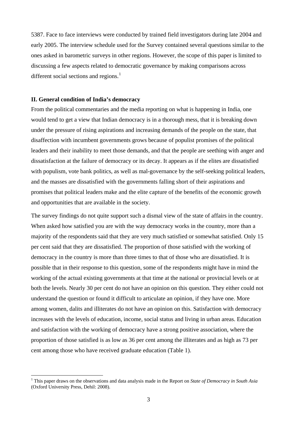5387. Face to face interviews were conducted by trained field investigators during late 2004 and early 2005. The interview schedule used for the Survey contained several questions similar to the ones asked in barometric surveys in other regions. However, the scope of this paper is limited to discussing a few aspects related to democratic governance by making comparisons across different social sections and regions.<sup>[1](#page-3-0)</sup>

### **II. General condition of India's democracy**

 $\overline{a}$ 

From the political commentaries and the media reporting on what is happening in India, one would tend to get a view that Indian democracy is in a thorough mess, that it is breaking down under the pressure of rising aspirations and increasing demands of the people on the state, that disaffection with incumbent governments grows because of populist promises of the political leaders and their inability to meet those demands, and that the people are seething with anger and dissatisfaction at the failure of democracy or its decay. It appears as if the elites are dissatisfied with populism, vote bank politics, as well as mal-governance by the self-seeking political leaders, and the masses are dissatisfied with the governments falling short of their aspirations and promises that political leaders make and the elite capture of the benefits of the economic growth and opportunities that are available in the society.

The survey findings do not quite support such a dismal view of the state of affairs in the country. When asked how satisfied you are with the way democracy works in the country, more than a majority of the respondents said that they are very much satisfied or somewhat satisfied. Only 15 per cent said that they are dissatisfied. The proportion of those satisfied with the working of democracy in the country is more than three times to that of those who are dissatisfied. It is possible that in their response to this question, some of the respondents might have in mind the working of the actual existing governments at that time at the national or provincial levels or at both the levels. Nearly 30 per cent do not have an opinion on this question. They either could not understand the question or found it difficult to articulate an opinion, if they have one. More among women, dalits and illiterates do not have an opinion on this. Satisfaction with democracy increases with the levels of education, income, social status and living in urban areas. Education and satisfaction with the working of democracy have a strong positive association, where the proportion of those satisfied is as low as 36 per cent among the illiterates and as high as 73 per cent among those who have received graduate education (Table 1).

<span id="page-3-0"></span><sup>&</sup>lt;sup>1</sup> This paper draws on the observations and data analysis made in the Report on *State of Democracy in South Asia* (Oxford University Press, Dehil: 2008).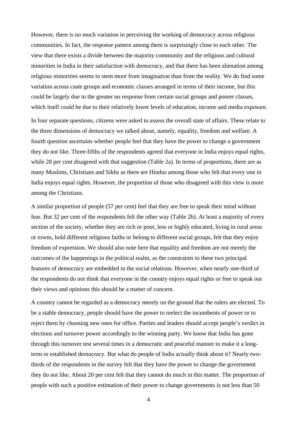However, there is no much variation in perceiving the working of democracy across religious communities. In fact, the response pattern among them is surprisingly close to each other. The view that there exists a divide between the majority community and the religious and cultural minorities in India in their satisfaction with democracy, and that there has been alienation among religious minorities seems to stem more from imagination than from the reality. We do find some variation across caste groups and economic classes arranged in terms of their income, but this could be largely due to the greater no response from certain social groups and poorer classes, which itself could be due to their relatively lower levels of education, income and media exposure.

In four separate questions, citizens were asked to assess the overall state of affairs. These relate to the three dimensions of democracy we talked about, namely, equality, freedom and welfare. A fourth question ascertains whether people feel that they have the power to change a government they do not like. Three-fifths of the respondents agreed that everyone in India enjoys equal rights, while 28 per cent disagreed with that suggestion (Table 2a). In terms of proportions, there are as many Muslims, Christians and Sikhs as there are Hindus among those who felt that every one in India enjoys equal rights. However, the proportion of those who disagreed with this view is more among the Christians.

A similar proportion of people (57 per cent) feel that they are free to speak their mind without fear. But 32 per cent of the respondents felt the other way (Table 2b). At least a majority of every section of the society, whether they are rich or poor, less or highly educated, living in rural areas or towns, hold different religious faiths or belong to different social groups, felt that they enjoy freedom of expression. We should also note here that equality and freedom are not merely the outcomes of the happenings in the political realm, as the constraints to these two principal features of democracy are embedded in the social relations. However, when nearly one-third of the respondents do not think that everyone in the country enjoys equal rights or free to speak out their views and opinions this should be a matter of concern.

A country cannot be regarded as a democracy merely on the ground that the rulers are elected. To be a stable democracy, people should have the power to reelect the incumbents of power or to reject them by choosing new ones for office. Parties and leaders should accept people's verdict in elections and turnover power accordingly to the winning party. We know that India has gone through this turnover test several times in a democratic and peaceful manner to make it a longterm or established democracy. But what do people of India actually think about it? Nearly twothirds of the respondents in the survey felt that they have the power to change the government they do not like. About 20 per cent felt that they cannot do much in this matter. The proportion of people with such a positive estimation of their power to change governments is not less than 50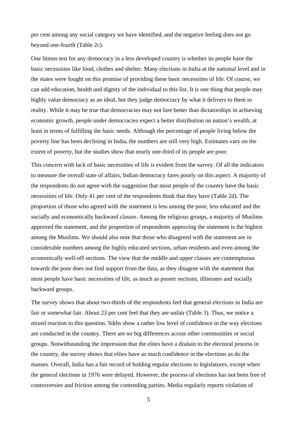per cent among any social category we have identified, and the negative feeling does not go beyond one-fourth (Table 2c).

One litmus test for any democracy in a less developed country is whether its people have the basic necessities like food, clothes and shelter. Many elections in India at the national level and in the states were fought on this promise of providing these basic necessities of life. Of course, we can add education, health and dignity of the individual to this list. It is one thing that people may highly value democracy as an ideal, but they judge democracy by what it delivers to them in reality. While it may be true that democracies may not fare better than dictatorships in achieving economic growth, people under democracies expect a better distribution on nation's wealth, at least in terms of fulfilling the basic needs. Although the percentage of people living below the poverty line has been declining in India, the numbers are still very high. Estimates vary on the extent of poverty, but the studies show that nearly one-third of its people are poor.

This concern with lack of basic necessities of life is evident from the survey. Of all the indicators to measure the overall state of affairs, Indian democracy fares poorly on this aspect. A majority of the respondents do not agree with the suggestion that most people of the country have the basic necessities of life. Only 41 per cent of the respondents think that they have (Table 2d). The proportion of those who agreed with the statement is less among the poor, less educated and the socially and economically backward classes. Among the religious groups, a majority of Muslims approved the statement, and the proportion of respondents approving the statement is the highest among the Muslims. We should also note that those who disagreed with the statement are in considerable numbers among the highly educated sections, urban residents and even among the economically well-off sections. The view that the middle and upper classes are contemptuous towards the poor does not find support from the data, as they disagree with the statement that most people have basic necessities of life, as much as poorer sections, illiterates and socially backward groups.

The survey shows that about two-thirds of the respondents feel that general elections in India are fair or somewhat fair. About 23 per cent feel that they are unfair (Table 3). Thus, we notice a mixed reaction to this question. Sikhs show a rather low level of confidence in the way elections are conducted in the country. There are no big differences across other communities or social groups. Notwithstanding the impression that the elites have a disdain to the electoral process in the country, the survey shows that elites have as much confidence in the elections as do the masses. Overall, India has a fair record of holding regular elections to legislatures, except when the general elections in 1976 were delayed. However, the process of elections has not been free of controversies and friction among the contending parties. Media regularly reports violation of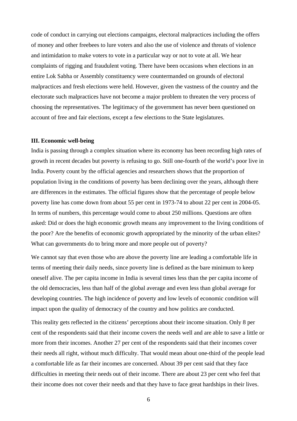code of conduct in carrying out elections campaigns, electoral malpractices including the offers of money and other freebees to lure voters and also the use of violence and threats of violence and intimidation to make voters to vote in a particular way or not to vote at all. We hear complaints of rigging and fraudulent voting. There have been occasions when elections in an entire Lok Sabha or Assembly constituency were countermanded on grounds of electoral malpractices and fresh elections were held. However, given the vastness of the country and the electorate such malpractices have not become a major problem to threaten the very process of choosing the representatives. The legitimacy of the government has never been questioned on account of free and fair elections, except a few elections to the State legislatures.

### **III. Economic well-being**

India is passing through a complex situation where its economy has been recording high rates of growth in recent decades but poverty is refusing to go. Still one-fourth of the world's poor live in India. Poverty count by the official agencies and researchers shows that the proportion of population living in the conditions of poverty has been declining over the years, although there are differences in the estimates. The official figures show that the percentage of people below poverty line has come down from about 55 per cent in 1973-74 to about 22 per cent in 2004-05. In terms of numbers, this percentage would come to about 250 millions. Questions are often asked: Did or does the high economic growth means any improvement to the living conditions of the poor? Are the benefits of economic growth appropriated by the minority of the urban elites? What can governments do to bring more and more people out of poverty?

We cannot say that even those who are above the poverty line are leading a comfortable life in terms of meeting their daily needs, since poverty line is defined as the bare minimum to keep oneself alive. The per capita income in India is several times less than the per capita income of the old democracies, less than half of the global average and even less than global average for developing countries. The high incidence of poverty and low levels of economic condition will impact upon the quality of democracy of the country and how politics are conducted.

This reality gets reflected in the citizens' perceptions about their income situation. Only 8 per cent of the respondents said that their income covers the needs well and are able to save a little or more from their incomes. Another 27 per cent of the respondents said that their incomes cover their needs all right, without much difficulty. That would mean about one-third of the people lead a comfortable life as far their incomes are concerned. About 39 per cent said that they face difficulties in meeting their needs out of their income. There are about 23 per cent who feel that their income does not cover their needs and that they have to face great hardships in their lives.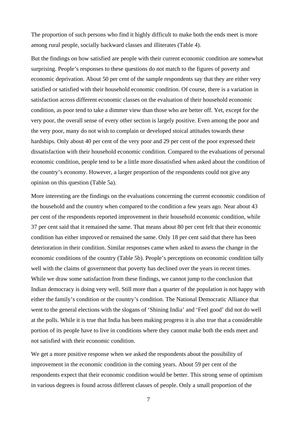The proportion of such persons who find it highly difficult to make both the ends meet is more among rural people, socially backward classes and illiterates (Table 4).

But the findings on how satisfied are people with their current economic condition are somewhat surprising. People's responses to these questions do not match to the figures of poverty and economic deprivation. About 50 per cent of the sample respondents say that they are either very satisfied or satisfied with their household economic condition. Of course, there is a variation in satisfaction across different economic classes on the evaluation of their household economic condition, as poor tend to take a dimmer view than those who are better off. Yet, except for the very poor, the overall sense of every other section is largely positive. Even among the poor and the very poor, many do not wish to complain or developed stoical attitudes towards these hardships. Only about 40 per cent of the very poor and 29 per cent of the poor expressed their dissatisfaction with their household economic condition. Compared to the evaluations of personal economic condition, people tend to be a little more dissatisfied when asked about the condition of the country's economy. However, a larger proportion of the respondents could not give any opinion on this question (Table 5a).

More interesting are the findings on the evaluations concerning the current economic condition of the household and the country when compared to the condition a few years ago. Near about 43 per cent of the respondents reported improvement in their household economic condition, while 37 per cent said that it remained the same. That means about 80 per cent felt that their economic condition has either improved or remained the same. Only 18 per cent said that there has been deterioration in their condition. Similar responses came when asked to assess the change in the economic conditions of the country (Table 5b). People's perceptions on economic condition tally well with the claims of government that poverty has declined over the years in recent times. While we draw some satisfaction from these findings, we cannot jump to the conclusion that Indian democracy is doing very well. Still more than a quarter of the population is not happy with either the family's condition or the country's condition. The National Democratic Alliance that went to the general elections with the slogans of 'Shining India' and 'Feel good' did not do well at the polls. While it is true that India has been making progress it is also true that a considerable portion of its people have to live in conditions where they cannot make both the ends meet and not satisfied with their economic condition.

We get a more positive response when we asked the respondents about the possibility of improvement in the economic condition in the coming years. About 59 per cent of the respondents expect that their economic condition would be better. This strong sense of optimism in various degrees is found across different classes of people. Only a small proportion of the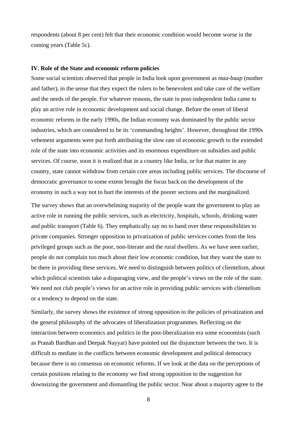respondents (about 8 per cent) felt that their economic condition would become worse in the coming years (Table 5c).

### **IV. Role of the State and economic reform policies**

Some social scientists observed that people in India look upon government as *maa-baap* (mother and father), in the sense that they expect the rulers to be benevolent and take care of the welfare and the needs of the people. For whatever reasons, the state in post-independent India came to play an active role in economic development and social change. Before the onset of liberal economic reforms in the early 1990s, the Indian economy was dominated by the public sector industries, which are considered to be its 'commanding heights'. However, throughout the 1990s vehement arguments were put forth attributing the slow rate of economic growth to the extended role of the state into economic activities and its enormous expenditure on subsidies and public services. Of course, soon it is realized that in a country like India, or for that matter in any country, state cannot withdraw from certain core areas including public services. The discourse of democratic governance to some extent brought the focus back on the development of the economy in such a way not to hurt the interests of the poorer sections and the marginalized.

The survey shows that an overwhelming majority of the people want the government to play an active role in running the public services, such as electricity, hospitals, schools, drinking water and public transport (Table 6). They emphatically say no to hand over these responsibilities to private companies. Stronger opposition to privatization of public services comes from the less privileged groups such as the poor, non-literate and the rural dwellers. As we have seen earlier, people do not complain too much about their low economic condition, but they want the state to be there in providing these services. We need to distinguish between politics of clientelism, about which political scientists take a disparaging view, and the people's views on the role of the state. We need not club people's views for an active role in providing public services with clientelism or a tendency to depend on the state.

Similarly, the survey shows the existence of strong opposition to the policies of privatization and the general philosophy of the advocates of liberalization programmes. Reflecting on the interaction between economics and politics in the post-liberalization era some economists (such as Pranab Bardhan and Deepak Nayyar) have pointed out the disjuncture between the two. It is difficult to mediate in the conflicts between economic development and political democracy because there is no consensus on economic reforms. If we look at the data on the perceptions of certain positions relating to the economy we find strong opposition to the suggestion for downsizing the government and dismantling the public sector. Near about a majority agree to the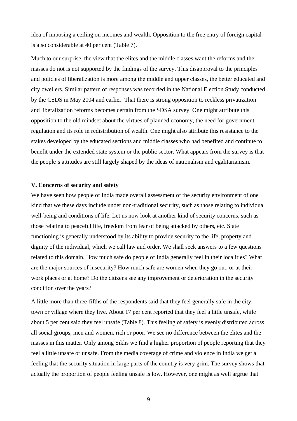idea of imposing a ceiling on incomes and wealth. Opposition to the free entry of foreign capital is also considerable at 40 per cent (Table 7).

Much to our surprise, the view that the elites and the middle classes want the reforms and the masses do not is not supported by the findings of the survey. This disapproval to the principles and policies of liberalization is more among the middle and upper classes, the better educated and city dwellers. Similar pattern of responses was recorded in the National Election Study conducted by the CSDS in May 2004 and earlier. That there is strong opposition to reckless privatization and liberalization reforms becomes certain from the SDSA survey. One might attribute this opposition to the old mindset about the virtues of planned economy, the need for government regulation and its role in redistribution of wealth. One might also attribute this resistance to the stakes developed by the educated sections and middle classes who had benefited and continue to benefit under the extended state system or the public sector. What appears from the survey is that the people's attitudes are still largely shaped by the ideas of nationalism and egalitarianism.

### **V. Concerns of security and safety**

We have seen how people of India made overall assessment of the security environment of one kind that we these days include under non-traditional security, such as those relating to individual well-being and conditions of life. Let us now look at another kind of security concerns, such as those relating to peaceful life, freedom from fear of being attacked by others, etc. State functioning is generally understood by its ability to provide security to the life, property and dignity of the individual, which we call law and order. We shall seek answers to a few questions related to this domain. How much safe do people of India generally feel in their localities? What are the major sources of insecurity? How much safe are women when they go out, or at their work places or at home? Do the citizens see any improvement or deterioration in the security condition over the years?

A little more than three-fifths of the respondents said that they feel generally safe in the city, town or village where they live. About 17 per cent reported that they feel a little unsafe, while about 5 per cent said they feel unsafe (Table 8). This feeling of safety is evenly distributed across all social groups, men and women, rich or poor. We see no difference between the elites and the masses in this matter. Only among Sikhs we find a higher proportion of people reporting that they feel a little unsafe or unsafe. From the media coverage of crime and violence in India we get a feeling that the security situation in large parts of the country is very grim. The survey shows that actually the proportion of people feeling unsafe is low. However, one might as well argrue that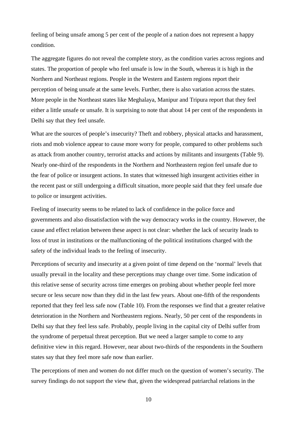feeling of being unsafe among 5 per cent of the people of a nation does not represent a happy condition.

The aggregate figures do not reveal the complete story, as the condition varies across regions and states. The proportion of people who feel unsafe is low in the South, whereas it is high in the Northern and Northeast regions. People in the Western and Eastern regions report their perception of being unsafe at the same levels. Further, there is also variation across the states. More people in the Northeast states like Meghalaya, Manipur and Tripura report that they feel either a little unsafe or unsafe. It is surprising to note that about 14 per cent of the respondents in Delhi say that they feel unsafe.

What are the sources of people's insecurity? Theft and robbery, physical attacks and harassment, riots and mob violence appear to cause more worry for people, compared to other problems such as attack from another country, terrorist attacks and actions by militants and insurgents (Table 9). Nearly one-third of the respondents in the Northern and Northeastern region feel unsafe due to the fear of police or insurgent actions. In states that witnessed high insurgent activities either in the recent past or still undergoing a difficult situation, more people said that they feel unsafe due to police or insurgent activities.

Feeling of insecurity seems to be related to lack of confidence in the police force and governments and also dissatisfaction with the way democracy works in the country. However, the cause and effect relation between these aspect is not clear: whether the lack of security leads to loss of trust in institutions or the malfunctioning of the political institutions charged with the safety of the individual leads to the feeling of insecurity.

Perceptions of security and insecurity at a given point of time depend on the 'normal' levels that usually prevail in the locality and these perceptions may change over time. Some indication of this relative sense of security across time emerges on probing about whether people feel more secure or less secure now than they did in the last few years. About one-fifth of the respondents reported that they feel less safe now (Table 10). From the responses we find that a greater relative deterioration in the Northern and Northeastern regions. Nearly, 50 per cent of the respondents in Delhi say that they feel less safe. Probably, people living in the capital city of Delhi suffer from the syndrome of perpetual threat perception. But we need a larger sample to come to any definitive view in this regard. However, near about two-thirds of the respondents in the Southern states say that they feel more safe now than earlier.

The perceptions of men and women do not differ much on the question of women's security. The survey findings do not support the view that, given the widespread patriarchal relations in the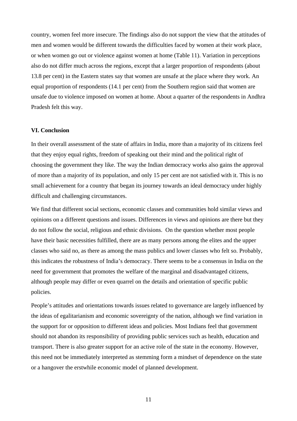country, women feel more insecure. The findings also do not support the view that the attitudes of men and women would be different towards the difficulties faced by women at their work place, or when women go out or violence against women at home (Table 11). Variation in perceptions also do not differ much across the regions, except that a larger proportion of respondents (about 13.8 per cent) in the Eastern states say that women are unsafe at the place where they work. An equal proportion of respondents (14.1 per cent) from the Southern region said that women are unsafe due to violence imposed on women at home. About a quarter of the respondents in Andhra Pradesh felt this way.

### **VI. Conclusion**

In their overall assessment of the state of affairs in India, more than a majority of its citizens feel that they enjoy equal rights, freedom of speaking out their mind and the political right of choosing the government they like. The way the Indian democracy works also gains the approval of more than a majority of its population, and only 15 per cent are not satisfied with it. This is no small achievement for a country that began its journey towards an ideal democracy under highly difficult and challenging circumstances.

We find that different social sections, economic classes and communities hold similar views and opinions on a different questions and issues. Differences in views and opinions are there but they do not follow the social, religious and ethnic divisions. On the question whether most people have their basic necessities fulfilled, there are as many persons among the elites and the upper classes who said no, as there as among the mass publics and lower classes who felt so. Probably, this indicates the robustness of India's democracy. There seems to be a consensus in India on the need for government that promotes the welfare of the marginal and disadvantaged citizens, although people may differ or even quarrel on the details and orientation of specific public policies.

People's attitudes and orientations towards issues related to governance are largely influenced by the ideas of egalitarianism and economic sovereignty of the nation, although we find variation in the support for or opposition to different ideas and policies. Most Indians feel that government should not abandon its responsibility of providing public services such as health, education and transport. There is also greater support for an active role of the state in the economy. However, this need not be immediately interpreted as stemming form a mindset of dependence on the state or a hangover the erstwhile economic model of planned development.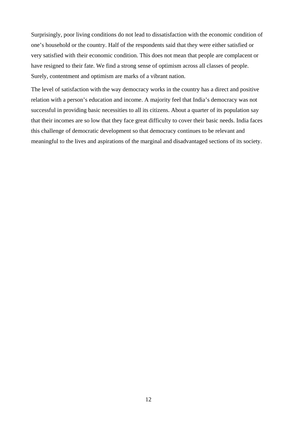Surprisingly, poor living conditions do not lead to dissatisfaction with the economic condition of one's household or the country. Half of the respondents said that they were either satisfied or very satisfied with their economic condition. This does not mean that people are complacent or have resigned to their fate. We find a strong sense of optimism across all classes of people. Surely, contentment and optimism are marks of a vibrant nation.

The level of satisfaction with the way democracy works in the country has a direct and positive relation with a person's education and income. A majority feel that India's democracy was not successful in providing basic necessities to all its citizens. About a quarter of its population say that their incomes are so low that they face great difficulty to cover their basic needs. India faces this challenge of democratic development so that democracy continues to be relevant and meaningful to the lives and aspirations of the marginal and disadvantaged sections of its society.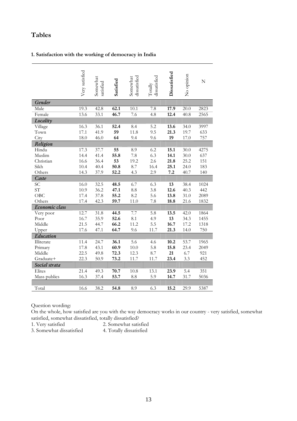## **Tables**

### **1. Satisfaction with the working of democracy in India**

|                | Very satisfied | Somewhat<br>satisfied | Satisfied | dissatisfied<br>Somewhat | dissatisfied<br>Totally | Dissatisfied | No opinion | $\mathbf N$ |
|----------------|----------------|-----------------------|-----------|--------------------------|-------------------------|--------------|------------|-------------|
| Gender         |                |                       |           |                          |                         |              |            |             |
| Male           | 19.3           | 42.8                  | 62.1      | 10.1                     | 7.8                     | 17.9         | 20.0       | 2823        |
| Female         | 13.6           | 33.1                  | 46.7      | 7.6                      | 4.8                     | 12.4         | 40.8       | 2565        |
| Locality       |                |                       |           |                          |                         |              |            |             |
| Village        | 16.3           | 36.1                  | 52.4      | 8.4                      | 5.2                     | 13.6         | 34.0       | 3997        |
| Town           | 17.1           | 41.9                  | 59        | 11.8                     | 9.5                     | 21.3         | 19.7       | 633         |
| City           | 18.0           | 46.0                  | 64        | 9.4                      | 9.6                     | 19           | 17.0       | 757         |
| Religion       |                |                       |           |                          |                         |              |            |             |
| Hindu          | 17.3           | 37.7                  | 55        | 8.9                      | 6.2                     | 15.1         | 30.0       | 4275        |
| Muslim         | 14.4           | 41.4                  | 55.8      | 7.8                      | 6.3                     | 14.1         | 30.0       | 637         |
| Christian      | 16.6           | 36.4                  | 53        | 19.2                     | 2.6                     | 21.8         | 25.2       | 151         |
| Sikh           | 10.4           | 40.4                  | 50.8      | 8.7                      | 16.4                    | 25.1         | 24.0       | 183         |
| Others         | 14.3           | 37.9                  | 52.2      | 4.3                      | 2.9                     | 7.2          | 40.7       | 140         |
| Caste          |                |                       |           |                          |                         |              |            |             |
| SС             | 16.0           | 32.5                  | 48.5      | 6.7                      | 6.3                     | 13           | 38.4       | 1024        |
| ST <sup></sup> | 10.9           | 36.2                  | 47.1      | 8.8                      | 3.8                     | 12.6         | 40.3       | 442         |
| OBC            | 17.4           | 37.8                  | 55.2      | 8.2                      | 5.6                     | 13.8         | 31.0       | 2089        |
| Others         | 17.4           | 42.3                  | 59.7      | 11.0                     | 7.8                     | 18.8         | 21.6       | 1832        |
| Economic class |                |                       |           |                          |                         |              |            |             |
| Very poor      | 12.7           | 31.8                  | 44.5      | 7.7                      | 5.8                     | 13.5         | 42.0       | 1864        |
| Poor           | 16.7           | 35.9                  | 52.6      | 8.1                      | 4.9                     | 13           | 34.3       | 1455        |
| Middle         | 21.5           | 44.7                  | 66.2      | 11.2                     | 5.5                     | 16.7         | 17.2       | 1318        |
| Upper          | 17.6           | 47.1                  | 64.7      | 9.6                      | 11.7                    | 21.3         | 14.0       | 750         |
| Education      |                |                       |           |                          |                         |              |            |             |
| Illiterate     | 11.4           | 24.7                  | 36.1      | 5.6                      | 4.6                     | 10.2         | 53.7       | 1965        |
| Primary        | 17.8           | 43.1                  | 60.9      | 10.0                     | 5.8                     | 15.8         | 23.4       | 2049        |
| Middle         | 22.5           | 49.8                  | 72.3      | 12.3                     | 8.7                     | 21           | 6.7        | 921         |
| Graduate+      | 22.3           | 50.9                  | 73.2      | 11.7                     | 11.7                    | 23.4         | 3.3        | 452         |
| Social strata  |                |                       |           |                          |                         |              |            |             |
| Elites         | 21.4           | 49.3                  | 70.7      | 10.8                     | 13.1                    | 23.9         | 5.4        | 351         |
| Mass publics   | 16.3           | 37.4                  | 53.7      | 8.8                      | 5.9                     | 14.7         | 31.7       | 5036        |
|                |                |                       |           |                          |                         |              |            |             |
| Total          | 16.6           | 38.2                  | 54.8      | 8.9                      | 6.3                     | 15.2         | 29.9       | 5387        |

Question wording:

On the whole, how satisfied are you with the way democracy works in our country - very satisfied, somewhat satisfied, somewhat dissatisfied, totally dissatisfied?

1. Very satisfied 2. Somewhat satisfied

3. Somewhat dissatisfied 4. Totally dissatisfied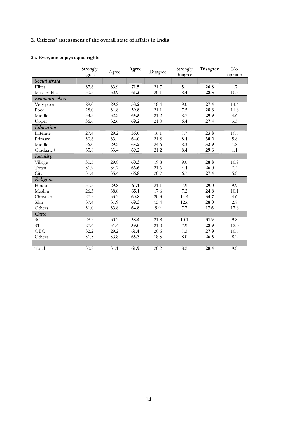### **2. Citizens' assessment of the overall state of affairs in India**

### **2a. Everyone enjoys equal rights**

|                | Strongly | Agree | Agree | Disagree | Strongly | <b>Disagree</b> | $\rm No$<br>opinion |
|----------------|----------|-------|-------|----------|----------|-----------------|---------------------|
|                | agree    |       |       |          | disagree |                 |                     |
| Social strata  |          |       |       |          |          |                 |                     |
| Elites         | 37.6     | 33.9  | 71.5  | 21.7     | 5.1      | 26.8            | 1.7                 |
| Mass publics   | 30.3     | 30.9  | 61.2  | 20.1     | 8.4      | 28.5            | 10.3                |
| Economic class |          |       |       |          |          |                 |                     |
| Very poor      | 29.0     | 29.2  | 58.2  | 18.4     | 9.0      | 27.4            | 14.4                |
| Poor           | 28.0     | 31.8  | 59.8  | 21.1     | 7.5      | 28.6            | 11.6                |
| Middle         | 33.3     | 32.2  | 65.5  | 21.2     | 8.7      | 29.9            | 4.6                 |
| Upper          | 36.6     | 32.6  | 69.2  | 21.0     | 6.4      | 27.4            | 3.5                 |
| Education      |          |       |       |          |          |                 |                     |
| Illiterate     | 27.4     | 29.2  | 56.6  | 16.1     | 7.7      | 23.8            | 19.6                |
| Primary        | 30.6     | 33.4  | 64.0  | 21.8     | 8.4      | 30.2            | 5.8                 |
| Middle         | 36.0     | 29.2  | 65.2  | 24.6     | 8.3      | 32.9            | 1.8                 |
| Graduate+      | 35.8     | 33.4  | 69.2  | 21.2     | 8.4      | 29.6            | 1.1                 |
| Locality       |          |       |       |          |          |                 |                     |
| Village        | 30.5     | 29.8  | 60.3  | 19.8     | 9.0      | 28.8            | 10.9                |
| Town           | 31.9     | 34.7  | 66.6  | 21.6     | 4.4      | 26.0            | 7.4                 |
| City           | 31.4     | 35.4  | 66.8  | 20.7     | 6.7      | 27.4            | 5.8                 |
| Religion       |          |       |       |          |          |                 |                     |
| Hindu          | 31.3     | 29.8  | 61.1  | 21.1     | 7.9      | 29.0            | 9.9                 |
| Muslim         | 26.3     | 38.8  | 65.1  | 17.6     | 7.2      | 24.8            | 10.1                |
| Christian      | 27.5     | 33.3  | 60.8  | 20.3     | 14.4     | 34.7            | 4.6                 |
| Sikh           | 37.4     | 31.9  | 69.3  | 15.4     | 12.6     | 28.0            | 2.7                 |
| Others         | 31.0     | 33.8  | 64.8  | 9.9      | 7.7      | 17.6            | 17.6                |
| Caste          |          |       |       |          |          |                 |                     |
| <b>SC</b>      | 28.2     | 30.2  | 58.4  | 21.8     | 10.1     | 31.9            | 9.8                 |
| ST <sup></sup> | 27.6     | 31.4  | 59.0  | 21.0     | 7.9      | 28.9            | 12.0                |
| OBC            | 32.2     | 29.2  | 61.4  | 20.6     | 7.3      | 27.9            | 10.6                |
| Others         | 31.5     | 33.8  | 65.3  | 18.5     | 8.0      | 26.5            | 8.2                 |
|                |          |       |       |          |          |                 |                     |
| Total          | 30.8     | 31.1  | 61.9  | 20.2     | 8.2      | 28.4            | 9.8                 |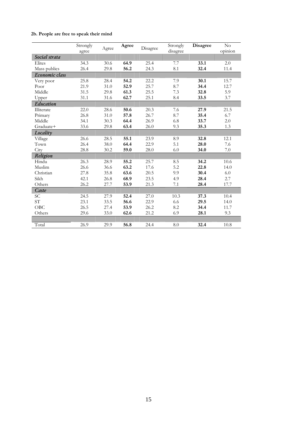### **2b. People are free to speak their mind**

|                | Strongly<br>agree | Agree | Agree | Disagree | Strongly<br>disagree | <b>Disagree</b> | $\rm No$<br>opinion |
|----------------|-------------------|-------|-------|----------|----------------------|-----------------|---------------------|
| Social strata  |                   |       |       |          |                      |                 |                     |
| Elites         | 34.3              | 30.6  | 64.9  | 25.4     | 7.7                  | 33.1            | 2.0                 |
| Mass publics   | 26.4              | 29.8  | 56.2  | 24.3     | 8.1                  | 32.4            | 11.4                |
| Economic class |                   |       |       |          |                      |                 |                     |
| Very poor      | 25.8              | 28.4  | 54.2  | 22.2     | 7.9                  | 30.1            | 15.7                |
| Poor           | 21.9              | 31.0  | 52.9  | 25.7     | 8.7                  | 34.4            | 12.7                |
| Middle         | 31.5              | 29.8  | 61.3  | 25.5     | 7.3                  | 32.8            | 5.9                 |
| Upper          | 31.1              | 31.6  | 62.7  | 25.1     | 8.4                  | 33.5            | 3.7                 |
| Education      |                   |       |       |          |                      |                 |                     |
| Illiterate     | 22.0              | 28.6  | 50.6  | 20.3     | 7.6                  | 27.9            | 21.5                |
| Primary        | 26.8              | 31.0  | 57.8  | 26.7     | 8.7                  | 35.4            | 6.7                 |
| Middle         | 34.1              | 30.3  | 64.4  | 26.9     | 6.8                  | 33.7            | 2.0                 |
| Graduate+      | 33.6              | 29.8  | 63.4  | 26.0     | 9.3                  | 35.3            | 1.3                 |
| Locality       |                   |       |       |          |                      |                 |                     |
| Village        | 26.6              | 28.5  | 55.1  | 23.9     | 8.9                  | 32.8            | 12.1                |
| Town           | 26.4              | 38.0  | 64.4  | 22.9     | 5.1                  | 28.0            | 7.6                 |
| City           | 28.8              | 30.2  | 59.0  | 28.0     | 6.0                  | 34.0            | 7.0                 |
| Religion       |                   |       |       |          |                      |                 |                     |
| Hindu          | 26.3              | 28.9  | 55.2  | 25.7     | 8.5                  | 34.2            | 10.6                |
| Muslim         | 26.6              | 36.6  | 63.2  | 17.6     | 5.2                  | 22.8            | 14.0                |
| Christian      | 27.8              | 35.8  | 63.6  | 20.5     | 9.9                  | 30.4            | 6.0                 |
| Sikh           | 42.1              | 26.8  | 68.9  | 23.5     | 4.9                  | 28.4            | 2.7                 |
| Others         | 26.2              | 27.7  | 53.9  | 21.3     | 7.1                  | 28.4            | 17.7                |
| Caste          |                   |       |       |          |                      |                 |                     |
| SC             | 24.5              | 27.9  | 52.4  | 27.0     | 10.3                 | 37.3            | 10.4                |
| ST <sup></sup> | 23.1              | 33.5  | 56.6  | 22.9     | 6.6                  | 29.5            | 14.0                |
| OBC            | 26.5              | 27.4  | 53.9  | 26.2     | 8.2                  | 34.4            | 11.7                |
| Others         | 29.6              | 33.0  | 62.6  | 21.2     | 6.9                  | 28.1            | 9.3                 |
|                |                   |       |       |          |                      |                 |                     |
| Total          | 26.9              | 29.9  | 56.8  | 24.4     | 8.0                  | 32.4            | 10.8                |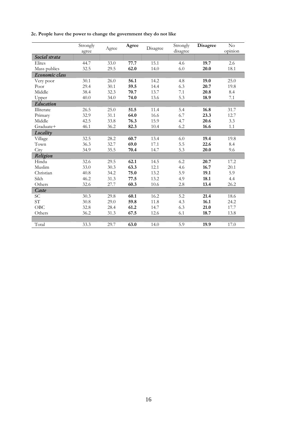|  |  |  |  |  | 2c. People have the power to change the government they do not like |  |  |
|--|--|--|--|--|---------------------------------------------------------------------|--|--|
|--|--|--|--|--|---------------------------------------------------------------------|--|--|

|                 | Strongly<br>agree | Agree | Agree | Disagree | Strongly<br>disagree | <b>Disagree</b> | No<br>opinion |
|-----------------|-------------------|-------|-------|----------|----------------------|-----------------|---------------|
| Social strata   |                   |       |       |          |                      |                 |               |
| Elites          | 44.7              | 33.0  | 77.7  | 15.1     | 4.6                  | 19.7            | 2.6           |
| Mass publics    | 32.5              | 29.5  | 62.0  | 14.0     | 6.0                  | 20.0            | 18.1          |
| Economic class  |                   |       |       |          |                      |                 |               |
| Very poor       | 30.1              | 26.0  | 56.1  | 14.2     | 4.8                  | 19.0            | 25.0          |
| Poor            | 29.4              | 30.1  | 59.5  | 14.4     | 6.3                  | 20.7            | 19.8          |
| Middle          | 38.4              | 32.3  | 70.7  | 13.7     | 7.1                  | 20.8            | 8.4           |
| Upper           | 40.0              | 34.0  | 74.0  | 13.6     | 5.3                  | 18.9            | 7.1           |
| Education       |                   |       |       |          |                      |                 |               |
| Illiterate      | 26.5              | 25.0  | 51.5  | 11.4     | 5.4                  | 16.8            | 31.7          |
| Primary         | 32.9              | 31.1  | 64.0  | 16.6     | 6.7                  | 23.3            | 12.7          |
| Middle          | 42.5              | 33.8  | 76.3  | 15.9     | 4.7                  | 20.6            | 3.3           |
| Graduate+       | 46.1              | 36.2  | 82.3  | 10.4     | 6.2                  | 16.6            | 1.1           |
| Locality        |                   |       |       |          |                      |                 |               |
| Village         | 32.5              | 28.2  | 60.7  | 13.4     | 6.0                  | 19.4            | 19.8          |
| Town            | 36.3              | 32.7  | 69.0  | 17.1     | 5.5                  | 22.6            | 8.4           |
| City            | 34.9              | 35.5  | 70.4  | 14.7     | 5.3                  | 20.0            | 9.6           |
| Religion        |                   |       |       |          |                      |                 |               |
| Hindu           | 32.6              | 29.5  | 62.1  | 14.5     | 6.2                  | 20.7            | 17.2          |
| Muslim          | 33.0              | 30.3  | 63.3  | 12.1     | 4.6                  | 16.7            | 20.1          |
| Christian       | 40.8              | 34.2  | 75.0  | 13.2     | 5.9                  | 19.1            | 5.9           |
| Sikh            | 46.2              | 31.3  | 77.5  | 13.2     | 4.9                  | 18.1            | 4.4           |
| Others          | 32.6              | 27.7  | 60.3  | 10.6     | 2.8                  | 13.4            | 26.2          |
| Caste           |                   |       |       |          |                      |                 |               |
| SС              | 30.3              | 29.8  | 60.1  | 16.2     | 5.2                  | 21.4            | 18.6          |
| SΤ <sup>-</sup> | 30.8              | 29.0  | 59.8  | 11.8     | 4.3                  | 16.1            | 24.2          |
| OBC             | 32.8              | 28.4  | 61.2  | 14.7     | 6.3                  | 21.0            | 17.7          |
| Others          | 36.2              | 31.3  | 67.5  | 12.6     | 6.1                  | 18.7            | 13.8          |
|                 |                   |       |       |          |                      |                 |               |
| Total           | 33.3              | 29.7  | 63.0  | 14.0     | 5.9                  | 19.9            | 17.0          |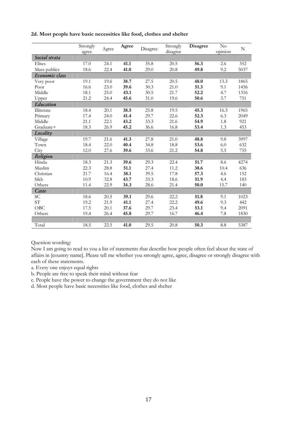|                | Strongly<br>agree | Agree | Agree | Disagree | Strongly<br>disagree | Disagree | $\rm No$<br>opinion | $\mathbf N$ |
|----------------|-------------------|-------|-------|----------|----------------------|----------|---------------------|-------------|
| Social strata  |                   |       |       |          |                      |          |                     |             |
| Elites         | 17.0              | 24.1  | 41.1  | 35.8     | 20.5                 | 56.3     | 2.6                 | 352         |
| Mass publics   | 18.6              | 22.4  | 41.0  | 29.0     | 20.8                 | 49.8     | 9.2                 | 5037        |
| Economic class |                   |       |       |          |                      |          |                     |             |
| Very poor      | 19.1              | 19.6  | 38.7  | 27.5     | 20.5                 | 48.0     | 13.3                | 1865        |
| Poor           | 16.6              | 23.0  | 39.6  | 30.3     | 21.0                 | 51.3     | 9.1                 | 1456        |
| Middle         | 18.1              | 25.0  | 43.1  | 30.5     | 21.7                 | 52.2     | 4.7                 | 1316        |
| Upper          | 21.2              | 24.4  | 45.6  | 31.0     | 19.6                 | 50.6     | 3.7                 | 751         |
| Education      |                   |       |       |          |                      |          |                     |             |
| Illiterate     | 18.4              | 20.1  | 38.5  | 25.8     | 19.5                 | 45.3     | 16.3                | 1965        |
| Primary        | 17.4              | 24.0  | 41.4  | 29.7     | 22.6                 | 52.3     | 6.3                 | 2049        |
| Middle         | 21.1              | 22.1  | 43.2  | 33.3     | 21.6                 | 54.9     | 1.8                 | 921         |
| Graduate+      | 18.3              | 26.9  | 45.2  | 36.6     | 16.8                 | 53.4     | 1.3                 | 453         |
| Locality       |                   |       |       |          |                      |          |                     |             |
| Village        | 19.7              | 21.6  | 41.3  | 27.8     | 21.0                 | 48.8     | 9.8                 | 3997        |
| Town           | 18.4              | 22.0  | 40.4  | 34.8     | 18.8                 | 53.6     | 6.0                 | 632         |
| City           | 12.0              | 27.6  | 39.6  | 33.6     | 21.2                 | 54.8     | 5.5                 | 755         |
| Religion       |                   |       |       |          |                      |          |                     |             |
| Hindu          | 18.3              | 21.3  | 39.6  | 29.3     | 22.4                 | 51.7     | 8.6                 | 4274        |
| Muslim         | 22.3              | 28.8  | 51.1  | 27.4     | 11.2                 | 38.6     | 10.4                | 636         |
| Christian      | 21.7              | 16.4  | 38.1  | 39.5     | 17.8                 | 57.3     | 4.6                 | 152         |
| Sikh           | 10.9              | 32.8  | 43.7  | 33.3     | 18.6                 | 51.9     | 4.4                 | 183         |
| Others         | 11.4              | 22.9  | 34.3  | 28.6     | 21.4                 | 50.0     | 15.7                | 140         |
| Caste          |                   |       |       |          |                      |          |                     |             |
| <b>SC</b>      | 18.6              | 20.5  | 39.1  | 29.6     | 22.2                 | 51.8     | 9.1                 | 1023        |
| ST             | 19.2              | 21.9  | 41.1  | 27.4     | 22.2                 | 49.6     | 9.3                 | 442         |
| OBC            | 17.5              | 20.1  | 37.6  | 29.7     | 23.4                 | 53.1     | 9.4                 | 2091        |
| Others         | 19.4              | 26.4  | 45.8  | 29.7     | 16.7                 | 46.4     | 7.8                 | 1830        |
|                |                   |       |       |          |                      |          |                     |             |
| Total          | 18.5              | 22.5  | 41.0  | 29.5     | 20.8                 | 50.3     | 8.8                 | 5387        |

**2d. Most people have basic necessities like food, clothes and shelter** 

Question wording:

Now I am going to read to you a list of statements that describe how people often feel about the state of affairs in [country name]. Please tell me whether you strongly agree, agree, disagree or strongly disagree with each of these statements.

a. Every one enjoys equal rights

b. People are free to speak their mind without fear

c. People have the power to change the government they do not like

d. Most people have basic necessities like food, clothes and shelter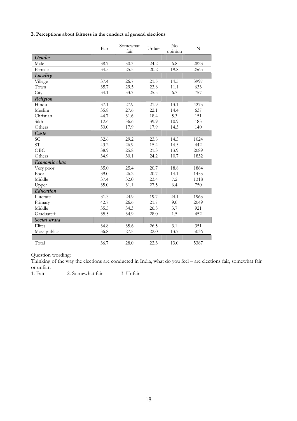|  |  | 3. Perceptions about fairness in the conduct of general elections |  |  |  |  |  |
|--|--|-------------------------------------------------------------------|--|--|--|--|--|
|--|--|-------------------------------------------------------------------|--|--|--|--|--|

|                | Fair | Somewhat<br>fair | Unfair | No<br>opinion | N    |
|----------------|------|------------------|--------|---------------|------|
| Gender         |      |                  |        |               |      |
| Male           | 38.7 | 30.3             | 24.2   | 6.8           | 2823 |
| Female         | 34.5 | 25.5             | 20.2   | 19.8          | 2565 |
| Locality       |      |                  |        |               |      |
| Village        | 37.4 | 26.7             | 21.5   | 14.5          | 3997 |
| Town           | 35.7 | 29.5             | 23.8   | 11.1          | 633  |
| City           | 34.1 | 33.7             | 25.5   | 6.7           | 757  |
| Religion       |      |                  |        |               |      |
| Hindu          | 37.1 | 27.9             | 21.9   | 13.1          | 4275 |
| Muslim         | 35.8 | 27.6             | 22.1   | 14.4          | 637  |
| Christian      | 44.7 | 31.6             | 18.4   | 5.3           | 151  |
| Sikh           | 12.6 | 36.6             | 39.9   | 10.9          | 183  |
| Others         | 50.0 | 17.9             | 17.9   | 14.3          | 140  |
| Caste          |      |                  |        |               |      |
| <b>SC</b>      | 32.6 | 29.2             | 23.8   | 14.5          | 1024 |
| ST             | 43.2 | 26.9             | 15.4   | 14.5          | 442  |
| OBC            | 38.9 | 25.8             | 21.3   | 13.9          | 2089 |
| Others         | 34.9 | 30.1             | 24.2   | 10.7          | 1832 |
| Economic class |      |                  |        |               |      |
| Very poor      | 35.0 | 25.4             | 20.7   | 18.8          | 1864 |
| Poor           | 39.0 | 26.2             | 20.7   | 14.1          | 1455 |
| Middle         | 37.4 | 32.0             | 23.4   | 7.2           | 1318 |
| Upper          | 35.0 | 31.1             | 27.5   | 6.4           | 750  |
| Education      |      |                  |        |               |      |
| Illiterate     | 31.3 | 24.9             | 19.7   | 24.1          | 1965 |
| Primary        | 42.7 | 26.6             | 21.7   | 9.0           | 2049 |
| Middle         | 35.5 | 34.3             | 26.5   | 3.7           | 921  |
| Graduate+      | 35.5 | 34.9             | 28.0   | 1.5           | 452  |
| Social strata  |      |                  |        |               |      |
| Elites         | 34.8 | 35.6             | 26.5   | 3.1           | 351  |
| Mass publics   | 36.8 | 27.5             | 22.0   | 13.7          | 5036 |
|                |      |                  |        |               |      |
| Total          | 36.7 | 28.0             | 22.3   | 13.0          | 5387 |

Question wording:

Thinking of the way the elections are conducted in India, what do you feel – are elections fair, somewhat fair or unfair.<br>1. Fair

2. Somewhat fair 3. Unfair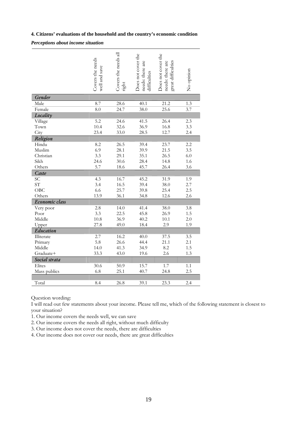### **4. Citizens' evaluations of the household and the country's economic condition**

### *Perceptions about income situation*

|                | Covers the needs<br>well and save | Covers the needs all<br>right | Does not cover the<br>needs: there are<br>difficulties | Does not cover the<br>great difficulties<br>needs: there are | No opinion |
|----------------|-----------------------------------|-------------------------------|--------------------------------------------------------|--------------------------------------------------------------|------------|
| Gender         |                                   |                               |                                                        |                                                              |            |
| Male           | 8.7                               | 28.6                          | 40.1                                                   | 21.2                                                         | 1.3        |
| Female         | $\overline{8.0}$                  | 24.7                          | 38.0                                                   | $\overline{25.6}$                                            | 3.7        |
| Locality       |                                   |                               |                                                        |                                                              |            |
| Village        | 5.2                               | 24.6                          | 41.5                                                   | 26.4                                                         | 2.3        |
| Town           | 10.4                              | 32.6                          | 36.9                                                   | 16.8                                                         | 3.3        |
| City           | 23.4                              | 33.0                          | 28.5                                                   | 12.7                                                         | 2.4        |
| Religion       |                                   |                               |                                                        |                                                              |            |
| Hindu          | 8.2                               | 26.5                          | 39.4                                                   | 23.7                                                         | 2.2        |
| Muslim         | 6.9                               | 28.1                          | 39.9                                                   | 21.5                                                         | 3.5        |
| Christian      | 3.3                               | 29.1                          | 35.1                                                   | 26.5                                                         | 6.0        |
| Sikh           | 24.6                              | 30.6                          | 28.4                                                   | 14.8                                                         | 1.6        |
| Others         | 5.7                               | 18.6                          | 45.7                                                   | 26.4                                                         | 3.6        |
| Caste          |                                   |                               |                                                        |                                                              |            |
| <b>SC</b>      | 4.3                               | 16.7                          | 45.2                                                   | 31.9                                                         | 1.9        |
| <b>ST</b>      | 3.4                               | 16.5                          | 39.4                                                   | 38.0                                                         | 2.7        |
| OBC            | 6.6                               | 25.7                          | 39.8                                                   | 25.4                                                         | 2.5        |
| Others         | 13.9                              | 36.1                          | 34.8                                                   | 12.6                                                         | 2.6        |
| Economic class |                                   |                               |                                                        |                                                              |            |
| Very poor      | 2.8                               | 14.0                          | 41.4                                                   | 38.0                                                         | 3.8        |
| Poor           | 3.3                               | 22.5                          | 45.8                                                   | 26.9                                                         | 1.5        |
| Middle         | 10.8                              | 36.9                          | 40.2                                                   | 10.1                                                         | 2.0        |
| Upper          | 27.8                              | 49.0                          | 18.4                                                   | 2.9                                                          | 1.9        |
| Education      |                                   |                               |                                                        |                                                              |            |
| Illiterate     | 2.7                               | 16.2                          | 40.0                                                   | 37.5                                                         | 3.5        |
| Primary        | 5.8                               | 26.6                          | 44.4                                                   | 21.1                                                         | 2.1        |
| Middle         | 14.0                              | 41.3                          | 34.9                                                   | 8.2                                                          | 1.5        |
| Graduate+      | 33.3                              | 43.0                          | 19.6                                                   | 2.6                                                          | 1.3        |
| Social strata  |                                   |                               |                                                        |                                                              |            |
| Elites         | 30.6                              | 50.9                          | 15.7                                                   | 1.7                                                          | 1.1        |
| Mass publics   | 6.8                               | 25.1                          | 40.7                                                   | 24.8                                                         | 2.5        |
|                |                                   |                               |                                                        |                                                              |            |
| Total          | 8.4                               | 26.8                          | 39.1                                                   | 23.3                                                         | 2.4        |

Question wording:

I will read out few statements about your income. Please tell me, which of the following statement is closest to your situation?

1. Our income covers the needs well, we can save

2. Our income covers the needs all right, without much difficulty

3. Our income does not cover the needs, there are difficulties

4. Our income does not cover our needs, there are great difficulties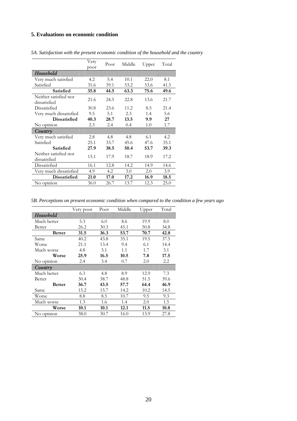### **5. Evaluations on economic condition**

|                        | Very | Poor | Middle | Upper | Total |
|------------------------|------|------|--------|-------|-------|
|                        | poor |      |        |       |       |
| Household              |      |      |        |       |       |
| Very much satisfied    | 4.2  | 5.4  | 10.1   | 22.0  | 8.1   |
| Satisfied              | 31.6 | 39.1 | 53.2   | 53.6  | 41.5  |
| Satisfied              | 35.8 | 44.5 | 63.3   | 75.6  | 49.6  |
| Neither satisfied nor  |      |      |        |       |       |
| dissatisfied           | 21.6 | 24.5 | 22.8   | 13.6  | 21.7  |
| Dissatisfied           | 30.8 | 23.6 | 11.2   | 8.5   | 21.4  |
| Very much dissatisfied | 9.5  | 5.1  | 2.3    | 1.4   | 5.6   |
| <b>Dissatisfied</b>    | 40.3 | 28.7 | 13.5   | 9.9   | 27    |
| No opinion             | 2.3  | 2.4  | 0.4    | 1.0   | 1.7   |
| Country                |      |      |        |       |       |
| Very much satisfied    | 2.8  | 4.8  | 4.8    | 6.1   | 4.2   |
| Satisfied              | 25.1 | 33.7 | 45.6   | 47.6  | 35.1  |
| Satisfied              | 27.9 | 38.5 | 50.4   | 53.7  | 39.3  |
| Neither satisfied nor  | 15.1 | 17.9 | 18.7   | 18.9  | 17.2  |
| dissatisfied           |      |      |        |       |       |
| Dissatisfied           | 16.1 | 12.8 | 14.2   | 14.9  | 14.6  |
| Very much dissatisfied | 4.9  | 4.2  | 3.0    | 2.0   | 3.9   |
| <b>Dissatisfied</b>    | 21.0 | 17.0 | 17.2   | 16.9  | 18.5  |
| No opinion             | 36.0 | 26.7 | 13.7   | 12.3  | 25.0  |

*5A. Satisfaction with the present economic condition of the household and the country* 

*5B. Perceptions on present economic condition when compared to the condition a few years ago* 

|               | Very poor | Poor | Middle | Upper | Total |
|---------------|-----------|------|--------|-------|-------|
| Household     |           |      |        |       |       |
| Much better   | 5.3       | 6.0  | 8.6    | 19.9  | 8.0   |
| Better        | 26.2      | 30.3 | 45.1   | 50.8  | 34.8  |
| <b>Better</b> | 31.5      | 36.3 | 53.7   | 70.7  | 42.8  |
| Same          | 40.2      | 43.8 | 35.1   | 19.5  | 37.5  |
| Worse         | 21.1      | 13.4 | 9.4    | 6.1   | 14.4  |
| Much worse    | 4.8       | 3.1  | 1.1    | 1.7   | 3.1   |
| Worse         | 25.9      | 16.5 | 10.5   | 7.8   | 17.5  |
| No opinion    | 2.4       | 3.4  | 0.7    | 2.0   | 2.2   |
| Country       |           |      |        |       |       |
| Much better   | 6.3       | 4.8  | 8.9    | 12.9  | 7.3   |
| Better        | 30.4      | 38.7 | 48.8   | 51.5  | 39.6  |
| <b>Better</b> | 36.7      | 43.5 | 57.7   | 64.4  | 46.9  |
| Same          | 15.2      | 15.7 | 14.2   | 10.2  | 14.5  |
| Worse         | 8.8       | 8.5  | 10.7   | 9.5   | 9.3   |
| Much worse    | 1.3       | 1.6  | 1.4    | 2.0   | 1.5   |
| Worse         | 10.1      | 10.1 | 12.1   | 11.5  | 10.8  |
| No opinion    | 38.0      | 30.7 | 16.0   | 13.9  | 27.8  |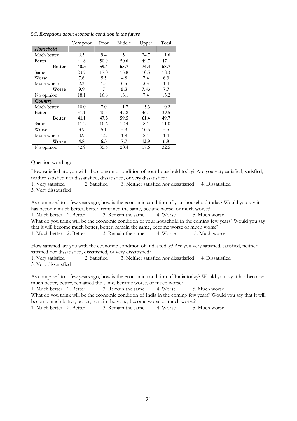| 5C. Exceptions about economic condition in the future |  |  |  |  |  |  |  |
|-------------------------------------------------------|--|--|--|--|--|--|--|
|-------------------------------------------------------|--|--|--|--|--|--|--|

|               | Very poor | Poor | Middle | Upper | Total |
|---------------|-----------|------|--------|-------|-------|
| Household     |           |      |        |       |       |
| Much better   | 6.5       | 9.4  | 15.1   | 24.7  | 11.6  |
| Better        | 41.8      | 50.0 | 50.6   | 49.7  | 47.1  |
| <b>Better</b> | 48.3      | 59.4 | 65.7   | 74.4  | 58.7  |
| Same          | 23.7      | 17.0 | 15.8   | 10.5  | 18.3  |
| Worse         | 7.6       | 5.5  | 4.8    | 7.4   | 6.3   |
| Much worse    | 2.3       | 1.5  | 0.5    | .03   | 1.4   |
| Worse         | 9.9       | 7    | 5.3    | 7.43  | 7.7   |
| No opinion    | 18.1      | 16.6 | 13.1   | 7.4   | 15.2  |
| Country       |           |      |        |       |       |
| Much better   | 10.0      | 7.0  | 11.7   | 15.3  | 10.2  |
| Better        | 31.1      | 40.5 | 47.8   | 46.1  | 39.5  |
| <b>Better</b> | 41.1      | 47.5 | 59.5   | 61.4  | 49.7  |
| Same          | 11.2      | 10.6 | 12.4   | 8.1   | 11.0  |
| Worse         | 3.9       | 5.1  | 5.9    | 10.5  | 5.5   |
| Much worse    | 0.9       | 1.2  | 1.8    | 2.4   | 1.4   |
| Worse         | 4.8       | 6.3  | 7.7    | 12.9  | 6.9   |
| No opinion    | 42.9      | 35.6 | 20.4   | 17.6  | 32.5  |

Question wording:

How satisfied are you with the economic condition of your household today? Are you very satisfied, satisfied, neither satisfied nor dissatisfied, dissatisfied, or very dissatisfied?

1. Very satisfied 2. Satisfied 3. Neither satisfied nor dissatisfied 4. Dissatisfied

5. Very dissatisfied

As compared to a few years ago, how is the economic condition of your household today? Would you say it has become much better, better, remained the same, became worse, or much worse? 1. Much better 2. Better 3. Remain the same 4. Worse 5. Much worse What do you think will be the economic condition of your household in the coming few years? Would you say that it will become much better, better, remain the same, become worse or much worse? 1. Much better 2. Better 3. Remain the same 4. Worse 5. Much worse

How satisfied are you with the economic condition of India today? Are you very satisfied, satisfied, neither satisfied nor dissatisfied, dissatisfied, or very dissatisfied?

| 1. Very satisfied    | 2. Satisfied | 3. Neither satisfied nor dissatisfied 4. Dissatisfied |  |
|----------------------|--------------|-------------------------------------------------------|--|
| 5. Very dissatisfied |              |                                                       |  |

As compared to a few years ago, how is the economic condition of India today? Would you say it has become much better, better, remained the same, became worse, or much worse?

1. Much better 2. Better 3. Remain the same 4. Worse 5. Much worse What do you think will be the economic condition of India in the coming few years? Would you say that it will become much better, better, remain the same, become worse or much worse? 1. Much better 2. Better 3. Remain the same 4. Worse 5. Much worse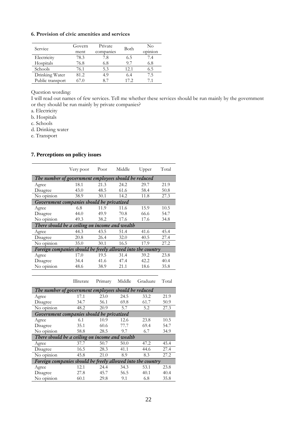### **6. Provision of civic amenities and services**

| Service          | Govern<br>ment | Private<br>companies | Both  | No<br>opinion |
|------------------|----------------|----------------------|-------|---------------|
| Electricity      | 78.3           | 7.8                  | 6.5   | 7.4           |
| Hospitals        | 76.8           | 6.8                  | 9.7   | 6.8           |
| Schools          | 76.1           | 5.3                  | 12.1  | 6.5           |
| Drinking Water   | 81.2           | 4.9                  | 6.4   | 7.5           |
| Public transport | 67.0           | 8.7                  | 17.2. | 71            |

### Question wording:

I will read out names of few services. Tell me whether these services should be run mainly by the government or they should be run mainly by private companies?

- a. Electricity
- b. Hospitals
- c. Schools
- d. Drinking water
- e. Transport

### **7. Perceptions on policy issues**

|                                                             | Very poor | Poor | Middle | Upper | Total |
|-------------------------------------------------------------|-----------|------|--------|-------|-------|
| The number of government employees should be reduced        |           |      |        |       |       |
| Agree                                                       | 18.1      | 21.3 | 24.2   | 29.7  | 21.9  |
| Disagree                                                    | 43.0      | 48.5 | 61.6   | 58.4  | 50.8  |
| No opinion                                                  | 38.9      | 30.1 | 14.2   | 11.8  | 27.3  |
| Government companies should be privatized                   |           |      |        |       |       |
| Agree                                                       | 6.8       | 11.9 | 11.6   | 15.9  | 10.5  |
| Disagree                                                    | 44.0      | 49.9 | 70.8   | 66.6  | 54.7  |
| No opinion                                                  | 49.3      | 38.2 | 17.6   | 17.6  | 34.8  |
| There should be a ceiling on income and wealth              |           |      |        |       |       |
| Agree                                                       | 44.3      | 43.5 | 51.4   | 41.6  | 45.4  |
| Disagree                                                    | 20.8      | 26.4 | 32.0   | 40.5  | 27.4  |
| No opinion                                                  | 35.0      | 30.1 | 16.5   | 17.9  | 27.2  |
| Foreign companies should be freely allowed into the country |           |      |        |       |       |
| Agree                                                       | 17.0      | 19.5 | 31.4   | 39.2  | 23.8  |
| Disagree                                                    | 34.4      | 41.6 | 47.4   | 42.2  | 40.4  |
| No opinion                                                  | 48.6      | 38.9 | 21.1   | 18.6  | 35.8  |
|                                                             |           |      |        |       |       |

Illiterate Primary Middle Graduate Total

| Graduate | $\mathrm{T_{O1}}$ |
|----------|-------------------|
|          |                   |

| The number of government employees should be reduced        |      |      |      |      |      |  |
|-------------------------------------------------------------|------|------|------|------|------|--|
| Agree                                                       | 17.1 | 23.0 | 24.5 | 33.2 | 21.9 |  |
| Disagree                                                    | 34.7 | 56.1 | 69.8 | 61.7 | 50.9 |  |
| No opinion                                                  | 48.2 | 20.9 | 5.7  | 5.2  | 27.3 |  |
| Government companies should be privatized                   |      |      |      |      |      |  |
| Agree                                                       | 6.1  | 10.9 | 12.6 | 23.8 | 10.5 |  |
| Disagree                                                    | 35.1 | 60.6 | 77.7 | 69.4 | 54.7 |  |
| No opinion                                                  | 58.8 | 28.5 | 9.7  | 6.7  | 34.9 |  |
| There should be a ceiling on income and wealth              |      |      |      |      |      |  |
| Agree                                                       | 37.7 | 50.7 | 50.0 | 47.2 | 45.4 |  |
| Disagree                                                    | 16.5 | 28.3 | 41.1 | 44.6 | 27.4 |  |
| No opinion                                                  | 45.8 | 21.0 | 8.9  | 8.3  | 27.2 |  |
| Foreign companies should be freely allowed into the country |      |      |      |      |      |  |
| Agree                                                       | 12.1 | 24.4 | 34.3 | 53.1 | 23.8 |  |
| Disagree                                                    | 27.8 | 45.7 | 56.5 | 40.1 | 40.4 |  |
| No opinion                                                  | 60.1 | 29.8 | 9.1  | 6.8  | 35.8 |  |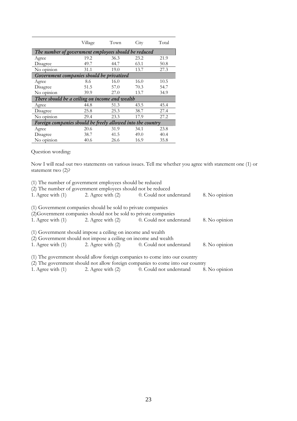|                                                             | Village | Town | City | Total |  |  |  |
|-------------------------------------------------------------|---------|------|------|-------|--|--|--|
| The number of government employees should be reduced        |         |      |      |       |  |  |  |
| Agree                                                       | 19.2    | 36.3 | 23.2 | 21.9  |  |  |  |
| Disagree                                                    | 49.7    | 44.7 | 63.1 | 50.8  |  |  |  |
| No opinion                                                  | 31.1    | 19.0 | 13.7 | 27.3  |  |  |  |
| Government companies should be privatized                   |         |      |      |       |  |  |  |
| Agree                                                       | 8.6     | 16.0 | 16.0 | 10.5  |  |  |  |
| Disagree                                                    | 51.5    | 57.0 | 70.3 | 54.7  |  |  |  |
| No opinion                                                  | 39.9    | 27.0 | 13.7 | 34.9  |  |  |  |
| There should be a ceiling on income and wealth              |         |      |      |       |  |  |  |
| Agree                                                       | 44.8    | 51.3 | 43.5 | 45.4  |  |  |  |
| Disagree                                                    | 25.8    | 25.3 | 38.7 | 27.4  |  |  |  |
| No opinion                                                  | 29.4    | 23.3 | 17.9 | 27.2  |  |  |  |
| Foreign companies should be freely allowed into the country |         |      |      |       |  |  |  |
| Agree                                                       | 20.6    | 31.9 | 34.1 | 23.8  |  |  |  |
| Disagree                                                    | 38.7    | 41.5 | 49.0 | 40.4  |  |  |  |
| No opinion                                                  | 40.6    | 26.6 | 16.9 | 35.8  |  |  |  |

Question wording:

Now I will read out two statements on various issues. Tell me whether you agree with statement one (1) or statement two (2)?

| (1) The number of government employees should be reduced |                                                                  |                                                                                                                                                              |               |  |  |  |  |  |
|----------------------------------------------------------|------------------------------------------------------------------|--------------------------------------------------------------------------------------------------------------------------------------------------------------|---------------|--|--|--|--|--|
|                                                          | (2) The number of government employees should not be reduced     |                                                                                                                                                              |               |  |  |  |  |  |
|                                                          |                                                                  | 1. Agree with (1) 2. Agree with (2) 0. Could not understand                                                                                                  | 8. No opinion |  |  |  |  |  |
|                                                          | (1) Government companies should be sold to private companies     |                                                                                                                                                              |               |  |  |  |  |  |
|                                                          | (2) Government companies should not be sold to private companies |                                                                                                                                                              |               |  |  |  |  |  |
|                                                          |                                                                  | 1. Agree with (1) 2. Agree with (2) 0. Could not understand                                                                                                  | 8. No opinion |  |  |  |  |  |
|                                                          | (1) Government should impose a ceiling on income and wealth      |                                                                                                                                                              |               |  |  |  |  |  |
|                                                          | (2) Government should not impose a ceiling on income and wealth  |                                                                                                                                                              |               |  |  |  |  |  |
|                                                          |                                                                  | 1. Agree with (1) 2. Agree with (2) 0. Could not understand                                                                                                  | 8. No opinion |  |  |  |  |  |
|                                                          |                                                                  | (1) The government should allow foreign companies to come into our country<br>(2) The government should not allow foreign companies to come into our country |               |  |  |  |  |  |

1. Agree with (1) 2. Agree with (2)  $\overline{0}$ . Could not understand 8. No opinion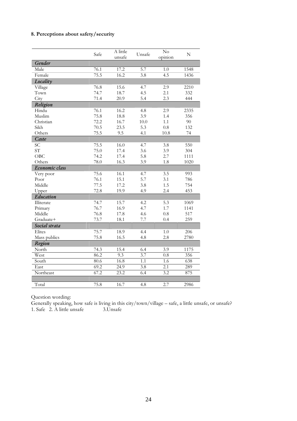### **8. Perceptions about safety/security**

|                | Safe | A little | Unsafe           | $\overline{\text{No}}$ | ${\bf N}$ |
|----------------|------|----------|------------------|------------------------|-----------|
| Gender         |      | unsafe   |                  | opinion                |           |
|                |      |          |                  |                        |           |
| Male           | 76.1 | 17.2     | 5.7              | 1.0                    | 1548      |
| Female         | 75.5 | 16.2     | $\overline{3.8}$ | 4.5                    | 1436      |
| Locality       |      |          |                  |                        |           |
| Village        | 76.8 | 15.6     | 4.7              | 2.9                    | 2210      |
| Town           | 74.7 | 18.7     | 4.5              | 2.1                    | 332       |
| City           | 71.4 | 20.9     | 5.4              | 2.3                    | 444       |
| Religion       |      |          |                  |                        |           |
| Hindu          | 76.1 | 16.2     | 4.8              | 2.9                    | 2335      |
| Muslim         | 75.8 | 18.8     | 3.9              | 1.4                    | 356       |
| Christian      | 72.2 | 16.7     | 10.0             | 1.1                    | 90        |
| Sikh           | 70.5 | 23.5     | 5.3              | 0.8                    | 132       |
| Others         | 75.5 | 9.5      | 4.1              | 10.8                   | 74        |
| Caste          |      |          |                  |                        |           |
| <b>SC</b>      | 75.5 | 16.0     | 4.7              | 3.8                    | 550       |
| <b>ST</b>      | 75.0 | 17.4     | 3.6              | 3.9                    | 304       |
| OBC            | 74.2 | 17.4     | 5.8              | 2.7                    | 1111      |
| Others         | 78.0 | 16.3     | 3.9              | 1.8                    | 1020      |
| Economic class |      |          |                  |                        |           |
| Very poor      | 75.6 | 16.1     | 4.7              | 3.5                    | 993       |
| Poor           | 76.1 | 15.1     | 5.7              | 3.1                    | 786       |
| Middle         | 77.5 | 17.2     | 3.8              | 1.5                    | 754       |
| Upper          | 72.8 | 19.9     | 4.9              | 2.4                    | 453       |
| Education      |      |          |                  |                        |           |
| Illiterate     | 74.7 | 15.7     | 4.2              | 5.3                    | 1069      |
| Primary        | 76.7 | 16.9     | 4.7              | 1.7                    | 1141      |
| Middle         | 76.8 | 17.8     | 4.6              | 0.8                    | 517       |
| Graduate+      | 73.7 | 18.1     | 7.7              | 0.4                    | 259       |
| Social strata  |      |          |                  |                        |           |
| Elites         | 75.7 | 18.9     | 4.4              | 1.0                    | 206       |
| Mass publics   | 75.8 | 16.5     | 4.8              | 2.8                    | 2780      |
| Region         |      |          |                  |                        |           |
| North          | 74.3 | 15.4     | 6.4              | 3.9                    | 1175      |
| West           | 86.2 | 9.3      | 3.7              | 0.8                    | 356       |
| South          | 80.6 | 16.8     | $\overline{1.1}$ | $\overline{1.6}$       | 638       |
| East           | 69.2 | 24.9     | 3.8              | 2.1                    | 289       |
| Northeast      | 67.2 | 23.2     | 6.4              | 3.2                    | 875       |
|                |      |          |                  |                        |           |
| Total          | 75.8 | 16.7     | 4.8              | 2.7                    | 2986      |

Question wording:

Generally speaking, how safe is living in this city/town/village – safe, a little unsafe, or unsafe? 1. Safe 2. A little unsafe 3.Unsafe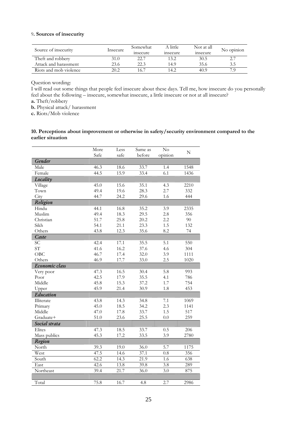### 9**. Sources of insecurity**

| Source of insecurity   | Insecure | Somewhat<br>insecure | A little<br>insecure | Not at all<br>insecure | No opinion |
|------------------------|----------|----------------------|----------------------|------------------------|------------|
| Theft and robbery      | 31.0     | 22.7                 | 13.2                 | 30.5                   |            |
| Attack and harassment  | 23.6     | 22.3                 | 14.9                 | 35.6                   | 3.5        |
| Riots and mob violence | 20.2     | 16.7                 | 14.2                 | 40.9                   | 7 G        |

Question wording:

I will read out some things that people feel insecure about these days. Tell me, how insecure do you personally feel about the following – insecure, somewhat insecure, a little insecure or not at all insecure?

**a.** Theft/robbery

**b.** Physical attack/ harassment

**c.** Riots/Mob violence

### **10. Perceptions about improvement or otherwise in safety/security environment compared to the earlier situation**

|                | More | Less | Same as           | $\overline{N}$ o |           |
|----------------|------|------|-------------------|------------------|-----------|
|                | Safe | safe | before            | opinion          | ${\bf N}$ |
| Gender         |      |      |                   |                  |           |
| Male           | 46.3 | 18.6 | 33.7              | 1.4              | 1548      |
| Female         | 44.5 | 15.9 | 33.4              | $\overline{6.1}$ | 1436      |
| Locality       |      |      |                   |                  |           |
| Village        | 45.0 | 15.6 | 35.1              | 4.3              | 2210      |
| Town           | 49.4 | 19.6 | 28.3              | 2.7              | 332       |
| City           | 44.7 | 24.2 | 29.6              | 1.6              | 444       |
| Religion       |      |      |                   |                  |           |
| Hindu          | 44.1 | 16.8 | 35.2              | 3.9              | 2335      |
| Muslim         | 49.4 | 18.3 | 29.5              | 2.8              | 356       |
| Christian      | 51.7 | 25.8 | 20.2              | 2.2              | 90        |
| Sikh           | 54.1 | 21.1 | 23.3              | 1.5              | 132       |
| Others         | 43.8 | 12.3 | 35.6              | 8.2              | 74        |
| Caste          |      |      |                   |                  |           |
| <b>SC</b>      | 42.4 | 17.1 | 35.5              | 5.1              | 550       |
| ST             | 41.6 | 16.2 | 37.6              | 4.6              | 304       |
| OBC            | 46.7 | 17.4 | 32.0              | 3.9              | 1111      |
| Others         | 46.9 | 17.7 | 33.0              | 2.5              | 1020      |
| Economic class |      |      |                   |                  |           |
| Very poor      | 47.3 | 16.5 | 30.4              | 5.8              | 993       |
| Poor           | 42.5 | 17.9 | 35.5              | 4.1              | 786       |
| Middle         | 45.8 | 15.3 | 37.2              | 1.7              | 754       |
| Upper          | 45.9 | 21.4 | 30.9              | 1.8              | 453       |
| Education      |      |      |                   |                  |           |
| Illiterate     | 43.8 | 14.3 | 34.8              | 7.1              | 1069      |
| Primary        | 45.0 | 18.5 | 34.2              | 2.3              | 1141      |
| Middle         | 47.0 | 17.8 | 33.7              | 1.5              | 517       |
| Graduate+      | 51.0 | 23.6 | 25.5              | 0.0              | 259       |
| Social strata  |      |      |                   |                  |           |
| Elites         | 47.3 | 18.5 | 33.7              | 0.5              | 206       |
| Mass publics   | 45.3 | 17.2 | 33.5              | 3.9              | 2780      |
| Region         |      |      |                   |                  |           |
| North          | 39.3 | 19.0 | 36.0              | 5.7              | 1175      |
| West           | 47.5 | 14.6 | 37.1              | $\overline{0.8}$ | 356       |
| South          | 62.2 | 14.3 | $\overline{21.9}$ | 1.6              | 638       |
| East           | 42.6 | 13.8 | 39.8              | 3.8              | 289       |
| Northeast      | 39.4 | 21.7 | 36.0              | 3.0              | 875       |
|                |      |      |                   |                  |           |
| Total          | 75.8 | 16.7 | 4.8               | 2.7              | 2986      |